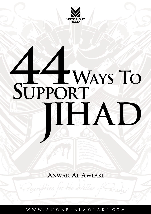

# A VAYS TO

# **ANWAR AL AWLAKI**

Rescription for the dweller of Paradise

WWW.ANWAR<sup>-</sup>ALAWLAKI.COM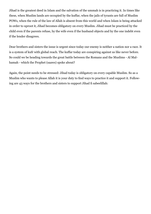Jihad is the greatest deed in Islam and the salvation of the ummah is in practicing it. In times like these, when Muslim lands are occupied by the kuffar, when the jails of tyrants are full of Muslim POWs, when the rule of the law of Allah is absent from this world and when Islam is being attacked in order to uproot it, Jihad becomes obligatory on every Muslim. Jihad must be practiced by the child even if the parents refuse, by the wife even if the husband objects and by the one indebt even if the lender disagrees.

Dear brothers and sisters the issue is urgent since today our enemy is neither a nation nor a race. It is a system of kufr with global reach. The kuffar today are conspiring against us like never before. So could we be heading towards the great battle between the Romans and the Muslims - Al Malhamah - which the Prophet (saaws) spoke about?

Again, the point needs to be stressed: Jihad today is obligatory on every capable Muslim. So as a Muslim who wants to please Allah it is your duty to find ways to practice it and support it. Following are 43 ways for the brothers and sisters to support Jihad fi sabeelillah: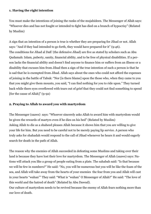#### **1. Having the right intention**

You must make the intentions of joining the ranks of the mujahideen. The Messenger of Allah says: "Whoever dies and has not fought or intended to fight has died on a branch of hypocrisy" (Related by Muslim)

A sign that an intention of a person is true is whether they are preparing for Jihad or not. Allah says: "And if they had intended to go forth, they would have prepared for it" (9:46). The conditions for Jihad al Dafi' (the defensive Jihad) are five as stated by scholars such as Abu Qudamah: Islam, puberty, sanity, financial ability, and to be free of physical disabilities. If a person lacks the financial ability and doesn't find anyone to finance him or suffers from an illness or a disability that excuses him from Jihad then a sign of the true intention of such a person is that he is sad that he is exempted from Jihad. Allah says about the ones who could not afford the expenses of joining in the battle of Tabuk: "Nor [is there blame] upon the those who, when they came to you that you might give them mounts, you said, "I can find nothing for you to ride upon." They turned back while there eyes overflowed with tears out of grief that they could not find something to spend [for the cause of Allah]" (9-92)

# **2. Praying to Allah to award you with martyrdom**

The Messenger (saaws) says: "Whoever sincerely asks Allah to award him with martyrdom would be given the rewards of martyrs even if he dies on his bed" (Related by Muslim) Asking Allah to die as a shaheed pleases Allah because it shows him that you are willing to give your life for him. But you need to be careful not to be merely paying lip service. A person who truly asks for shahadah would respond to the call of Jihad whenever he hears it and would eagerly search for death in the path of Allah.

The reason why the enemies of Allah succeeded in defeating some Muslims and taking over their land is because they have lost their love for martyrdom. The Messenger of Allah (saaws) says: Nations will attack you like a group of people eating from a plate. The sahabah said: "Is that because we will be few in numbers?" He said: "No, you will be numerous but you will be like the foam of the sea, and Allah will take away from the hearts of your enemies the fear from you and Allah will cast in your hearts "wahan"" They said: "What is "wahan" O Messenger of Allah?" He said: "The love of this world and the hatred of death" (Related by Abu Dawud).

Our culture of martyrdom needs to be revived because the enemy of Allah fears nothing more than our love of death.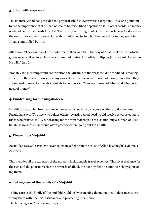# **3. Jihad with your wealth**

The financial Jihad has preceded the physical Jihad in every verse except one. This is to point out to us the importance of the Jihad of wealth because Jihad depends on it. In other words, no money no Jihad, and Jihad needs lots of it. That is why according to Al Qurtubi in his tafseer he states that the reward for money given as Sadaqah is multiplied by ten, but the reward for money spent in Jihad is multiplied by 700!

Allah says: "The example of those who spend their wealth in the way of Allah is like a seed which grows seven spikes; in each spike is a hundred grains. And Allah multiplies [His reward] for whom He wills" (2:261)

Probably the most important contribution the Muslims of the West could do for Jihad is making Jihad with their wealth since in many cases the mujahideen are in need of money more than they are in need of men. As Sheikh Abdullah Azzam puts it: "Men are in need of Jihad and Jihad is in need of money"

# **4. Fundraising for the mujahideen**

In addition to paying from your own money you should also encourage others to do the same. Rasulullah says: "The one who guides others towards a good deed would receive rewards equal to those who practice it." By fundraising for the mujahideen you are also fulfilling a sunnah of Rasulullah (saaws) which he would often practice before going out for a battle.

# **5. Financing a Mujahid**

Rasulullah (saaws) says: "Whoever sponsors a fighter in the cause of Allah has fought" (Majma' al Zawa'id)

This includes all the expenses of the mujahid including his travel expenses. This gives a chance for the rich and the poor to receive the rewards of Jihad, the poor by fighting and the rich by sponsoring them.

# **6. Taking care of the family of a Mujahid**

Taking care of the family of the mujahid could be by protecting them, tending to their needs, providing them with financial assistance and protecting their honor. The Messenger of Allah (saaws) says: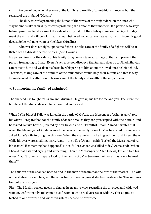• Anyone of you who takes care of the family and wealth of a mujahid will receive half the reward of the mujahid (Muslim)

The duty towards protecting the honor of the wives of the mujahideen on the ones who stay behind is like their duty towards protecting the honor of their mothers. If a person who stays behind promises to take care of the wife of a mujahid but then betrays him, on the Day of Judgment the mujahid will be told that this man betrayed you so take whatever you want from his good deeds. So he will take whatever he likes. (Muslim)

Whoever does not fight, sponsor a fighter, or take care of the family of a fighter, will be afflicted with a disaster before he dies. (Abu Dawud)

If a person fears for the safety of his family, Shaytan can take advantage of that and prevent that person from going to Jihad. Even if such a person disobeys Shaytan and does go to Jihad, Shaytan can come to him and weaken his heart by whispering to him about the loved ones he left behind. Therefore, taking care of the families of the mujahideen would help their morale and that is why Islam devoted this attention to taking care of the family and wealth of the mujahideen.

# **7. Sponsoring the family of a shaheed**

The shaheed has fought for Islam and Muslims. He gave up his life for me and you. Therefore the families of the shaheeds need to be honored and served.

When Ja'far bin Abi Talib was killed in the battle of Mu'tah, the Messenger of Allah (saaws) told his wives: "Prepare food for the family of Ja'far because they are preoccupied with their affair" and he visited Ja'far's house. (Related by Abu Dawud and al-Tirmithi). Imam Ahmad narrates that when the Messenger of Allah received the news of the martyrdom of Ja'far he visited his house and asked Ja'far's wife to bring the children. When they came to him he hugged them and kissed them while his eyes were shedding tears. Asma – the wife of Ja'far – said: "I asked the Messenger of Allah (saaws) if something has happened" He said: "Yes, Ja'far was killed today" Asma said: "When I heard that I started crying and screaming. Then the Messenger of Allah (saaws) left and told his wives: "Don't forget to prepare food for the family of Ja'far because their affair has overwhelmed them""

The children of the shaheed need to find in the men of the ummah the care of their father. The wife of the shaheed should be given the opportunity of remarrying if she has the desire to. This requires two cultural changes.

First: The Muslim society needs to change its negative view regarding the divorced and widowed woman. Unfortunately, today men avoid women who are divorcees or widows. This stigma attached to our divorced and widowed sisters needs to be overcome.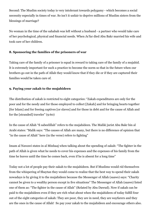Second: The Muslim society today is very intolerant towards polygamy - which becomes a social necessity especially in times of war. So isn't it unfair to deprive millions of Muslim sisters from the blessings of marriage?

No woman in the time of the sahabah was left without a husband - a partner who would take care of her psychological, physical and financial needs. When Ja'far died Abu Bakr married his wife and took care of her children.

# **8. Sponsoring the families of the prisoners of war**

Taking care of the family of a prisoner is equal in reward to taking care of the family of a mujahid. It is extremely important for such a practice to become the norm so that in the future when our brothers go out in the path of Allah they would know that if they die or if they are captured their families would be taken care of.

# **9. Paying your zakah to the mujahideen**

The distribution of zakah is restricted to eight categories: "Zakah expenditures are only for the poor and for the needy and for those employed to collect [Zakah] and for bringing hearts together [for Islam] and for freeing captives [or slaves] and for those in debt and for the cause of Allah and for the [stranded] traveler" (9:60)

In the cause of Allah "fi sabeelillah" refers to the mujahideen. The Maliki jurist Abu Bakr bin al Arabi states: "Malik says: "The causes of Allah are many, but there is no difference of opinion that "in the cause of Allah" here (in the verse) refers to fighting"

Imam al Nawawi states in al Minhaaj when talking about the spending of zakah: "The fighter in the path of Allah is given what he needs to cover his expenses and the expenses of his family from the time he leaves until the time he comes back, even if he is absent for a long time"

Today not a lot of people pay their zakah to the mujahideen. But if Muslims would rid themselves from the whispering of Shaytan they would come to realize that the best way to spend their zakah nowadays is by giving it to the mujahideen because the Messenger of Allah (saaws) says: "Charity cannot be given to a wealthy person except in five situations" The Messenger of Allah (saaws) listed one of them as: "The fighter in the cause of Allah" (Related by Abu Dawud). Now if zakah can be paid to the mujahideen even if they are rich what about when the mujahideen of today fulfill four out of the eight categories of zakah: They are poor, they are in need, they are wayfarers and they are the ones in the cause of Allah! So pay your zakah to the mujahideen and encourage others also.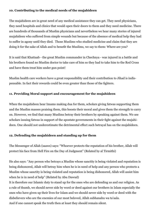# **10. Contributing to the medical needs of the mujahideen**

The mujahideen are in great need of any medical assistance they can get. They need physicians, they need hospitals and clinics that would open their doors to them and they need medicine. There are hundreds of thousands of Muslim physicians and nevertheless we hear many stories of injured mujahideen who suffered from simple wounds but because of the absence of medical help they had to suffer in agony until they died. Those Muslims who studied medicine and claim that they are doing it for the sake of Allah and to benefit the Muslims, we say to them: Where are you?

It is said that Khattaab - the great Muslim commander in Chechnya - was injured in a battle and his brothers found no Muslim doctor to take care of him so they had to take him to the Red Cross and have them treat him under gun point!

Muslim health care workers have a great responsibility and their contribution to Jihad is indispensable. In fact their rewards could be even greater than those of the fighters.

# **11. Providing Moral support and encouragement for the mujahideen**

When the mujahideen hear Imams making dua for them, scholars giving fatwas supporting them and the Muslim masses praising them, this boosts their moral and gives them the strength to carry on. However, we find that many Muslims betray their brothers by speaking against them. We see scholars issuing fatwas in support of the apostate governments in their fight against the mujahideen. One should not underestimate the detrimental effect such betrayal has on the mujahideen.

# **12. Defending the mujahideen and standing up for them**

The Messenger of Allah (saaws) says: "Whoever protects the reputation of his brother, Allah will protect his face from Hell Fire on the Day of Judgment" (Related by al Tirmithi)

He also says: "Any person who betrays a Muslim whose sanctity is being violated and reputation is being dishonored, Allah will betray him when he is in need of help and any person who protects a Muslim whose sanctity is being violated and reputation is being dishonored, Allah will assist him when he is in need of help" (Related by Abu Dawud)

It is therefore our Islamic duty to stand up for the ones who are defending us and our religion. As a rule of thumb, we should never side by word or deed against our brothers in Islam especially the ones who have given up their lives for Islam and we should never side by word or deed with the disbelievers who are the enemies of our most beloved, Allah subhanahu wa ta'aala. And if one cannot speak the truth then at least they should remain silent.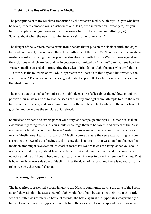#### **13. Fighting the lies of the Western Media**

The perceptions of many Muslims are formed by the Western media. Allah says: "O you who have believed, if there comes to you a disobedient one (fasiq) with information, investigate, lest you harm a people out of ignorance and become, over what you have done, regretful" (49:6) So what about when the news is coming from a kafir rather than a fasiq?!

The danger of the Western media stems from the fact that it puts on the cloak of truth and objectivity when in reality it is no more than the mouthpiece of the devil. Can't you see that the Western media is constantly trying to underplay the atrocities committed by the West while exaggerating the violations – which are few and far in between - committed by Muslims? Can't you see how the Western media succeeded in presenting the awlyaa' (friends) of Allah, the ones who are fighting in His cause, as the followers of evil, while it presents the Pharaoh of this day and his armies as the army of good? The Western media is so good in its deception that its lies pass on a wide section of the Muslim ummah.

The fact is that this media demonizes the mujahideen, spreads lies about them, blows out of proportion their mistakes, tries to sow the seeds of disunity amongst them, attempts to ruin the reputations of their leaders, and ignores or demonizes the scholars of truth when on the other hand, it glorifies and promotes the scholars of falsehood.

So my dear brothers and sisters part of your duty is to campaign amongst Muslims to raise their awareness regarding this issue. You should encourage them to be careful and critical of the Western media. A Muslim should not believe Western sources unless they are confirmed by a trustworthy Muslim one. I say a "trustworthy" Muslim source because the verse was warning us from accepting the news of a disobeying Muslim. Now that is not to say that we should not believe the media in anything it says even in its weather forecasts! No, what we are saying is that you should not believe what they say about Islam and Muslims. A media source that could otherwise be very objective and truthful could become a fabricator when it comes to covering news on Muslims. That is how the disbelievers dealt with Muslims since the dawn of history…and there is no reason for us to believe why that would change.

# **14. Exposing the hypocrites**

The hypocrites represented a great danger to the Muslim community during the time of the Prophet, and they still do. The Messenger of Allah would fight them by exposing their lies. If the battle with the kuffar was primarily a battle of swords, the battle against the hypocrites was primarily a battle of words. Since the hypocrites hide behind the cloak of religion to spread their poisonous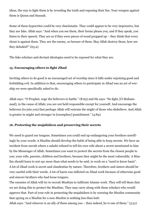ideas, the way to fight them is by revealing the truth and exposing their lies. Your weapon against them is Quran and Sunnah.

Some of these hypocrites could be very charismatic. They could appear to be very impressive, but they are fake. Allah says: "And when you see them, their forms please you, and if they speak, you listen to their speech. They are as if they were pieces of wood propped up – they think that every shout is against them. They are the enemy, so beware of them. May Allah destroy them; how are they deluded?" (63:4)

The fake scholars and deviant ideologies need to be exposed for what they are.

# **15. Encouraging others to fight Jihad**

Inviting others to do good is an encouraged act of worship since it falls under enjoining good and forbidding evil. In addition to that, encouraging others to participate in Jihad was an act of worship we were specifically asked to do.

Allah says: "O Prophet, urge the believers to battle." (8:65) and He says: "So fight, [O Muhammad], in the cause of Allah; you are not held responsible except for yourself. And encourage the believers [to join you] that perhaps Allah will restrain the might of those who disbelieve. And Allah is greater in might and stronger in [exemplary] punishment." (4:84)

# **16. Protecting the mujahideen and preserving their secrets**

We need to guard our tongues. Sometimes you could end up endangering your brothers unwillingly by your words. A Muslim should develop the habit of being able to keep secrets. We have an incident from seerah where a sahabi refused to tell his own wife about a secret mentioned to him by the Messenger of Allah. Sometimes you want to protect the secrets from the closest people to you: your wife, parents, children and brothers, because they might be the most vulnerable. A Muslim should learn to not say more than what needs to be said, to work on a "need to know basis". A lot of Jihad work is secret and clandestine by nature. Therefore, brothers and sisters should be very careful with their words. A lot of harm was inflicted on Jihad work because of otherwise good and sincere brothers who had loose tongues.

The enemies of Allah will try to recruit Muslims to infiltrate Islamic work. They will tell them that we are doing this to protect the Muslims. They may carry along with them scholars who would approve that. Part of your role in protecting the mujahideen is by warning the Muslim community that spying on a Muslim for a non-Muslim is nothing less than kufr.

Allah says: "And whoever is an ally of them among you – then indeed, he is one of them." (5:51)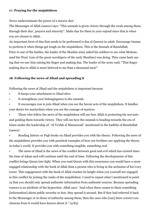#### **17. Praying for the mujahideen**

Never underestimate the power of a sincere dua'.

The Messenger of Allah (saaws) says: "This ummah is given victory through the weak among them, through their dua', prayers and sincerity". Make dua for them in your sujood since that is when you are closest to Allah.

An important form of dua that needs to be performed is dua al Qunoot in salah. Encourage Imams to perform it when things get tough on the mujahideen. This is the Sunnah of Rasulullah. Prior to one of the battles, the leader of the Muslim army asked his soldiers to see what Muhammad bin Wasi' (one of the great worshipers of the early Muslims) was doing. They came back saying that we saw him raising his finger and making dua. The leader of the army said: "That finger making dua to Allah is more beloved to me than a thousand men!"

# **18. Following the news of Jihad and spreading it**

Following the news of Jihad and the mujahideen is important because

- It keeps your attachment to Jihad alive.
- It strengthens your belongingness to the ummah.
- It encourages you to join Jihad when you see the heroic acts of the mujahideen. It kindles your desire for martyrdom when you see the courage of martyrs.

• Those who follow the news of the mujahideen will see how Allah is protecting his servants and guiding them towards victory. They will see how the ummah is heading towards the era of Islam under the leadership of: "al Ta'ifah al Mansoorah" mentioned in the hadiths of Rasulullah (saaws).

• Reading history or Fiqh books on Jihad provides you with the theory. Following the news of the mujahideen provides you with practical examples of how our brothers are applying the theory in today's world. It provides you with something tangible, something real.

The news of Jihad is the news of the conflict between good and evil which has existed since the time of Adam and will continue until the end of time. Following the developments of this conflict brings Quran into light. When you read Quran with this awareness you would have a more engaged relationship with the book of Allah than a person who is living in the seclusion of his ivory tower. This engagement with the book of Allah reaches its height when you yourself are engaged in this conflict by joining the ranks of the mujahideen. I need to repeat what I mentioned in point 13 that you should only spread authentic information from authentic sources. Because spreading rumors is an attribute of the hypocrites: Allah says: "And when there comes to them something [information] about public security or fear, they spread it around. But if they had referred it back to the Messenger or to those of authority among them, then the ones who [can] draw correct conclusions from it would have known about it." (4:83)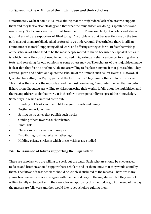#### **19. Spreading the writings of the mujahideen and their scholars**

Unfortunately we hear some Muslims claiming that the mujahideen lack scholars who support them and they lack a clear strategy and that what the mujahideen are doing is spontaneous and reactionary. Such claims are the furthest from the truth. There are plenty of scholars and strategic thinkers who are supporters of Jihad today. The problem is that because they are on the true path most of them are killed, jailed or forced to go underground. Nevertheless there is still an abundance of material supporting Jihad work and offering strategies for it. In fact the writings of the scholars of Jihad tend to be the most deeply rooted in sharia because they speak it out as it is, which means they do not need to get involved in ignoring any sharia evidence, twisting sharia texts, and searching for odd opinions as some others may do. The scholars of the mujahideen made it clear that they fear no one but Allah and are willing to displease anyone if that pleases him. They refer to Quran and hadith and quote the scholars of the ummah such as Ibn Hajar, al Nawawi, al Qurtubi, ibn Kathir, ibn Taymiyyah, and the four Imams. They have nothing to hide or conceal. This makes their works the most clear and the most convincing. To counter the fact that no publishers or media outlets are willing to risk sponsoring their works, it falls upon the mujahideen and their sympathizers to do that work. It is therefore our responsibility to spread their knowledge. Some ways in which you could contribute:

- Handing out books and pamphlets to your friends and family.
- Posting material online
- Setting up websites that publish such works
- Guiding others towards such websites.
- Email lists
- Placing such information in masjids
- Distributing such material in gatherings
- Holding private circles in which these writings are studied

# **20. The issuance of fatwas supporting the mujahideen**

There are scholars who are willing to speak out the truth. Such scholars should be encouraged to do so and brothers should support these scholars and let them know that they would stand by them. The fatwas of these scholars should be widely distributed to the masses. There are many young brothers and sisters who agree with the methodology of the mujahideen but they are not willing to fully embrace it until they see scholars approving this methodology. At the end of the day the masses are followers and they would like to see scholars guiding them.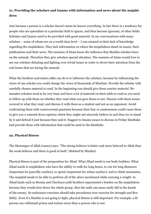# **21. Providing the scholars and Imams with information and news about the mujahideen**

Just because a person is a scholar doesn't mean he knows everything. In fact there is a tendency for people who are specialists in a particular field to ignore, and thus become ignorant, of other fields. Scholars and Imams need to be provided with good material. In my conversations with many scholars – some of whom are on a world class level – I was amazed at their lack of knowledge regarding the mujahideen. They lack information on where the mujahideen stand on issues, their publications and their news. The enemies of Islam know the influence that Muslim scholars have on the ummah. Therefore they give scholars special attention. The enemies of Islam would love to see our scholars debating and fighting over trivial issues in order to divert their attention from the real issues that are facing the ummah.

What the brothers and sisters alike can do is to influence the scholars, because by influencing the views of one scholar you could change the views of thousands of Muslims. Provide the scholar with carefully chosen material to read. In the beginning you should give them concise material. Remember scholars tend to be very busy and have a lot of material on their table to read so you need to follow up with them on whether they read what you gave them or not. Discuss with them issues covered in what they read, and discuss it with them as a student and not as an opponent. Avoid confronting them with controversial questions because their fear or cautiousness could cause them to give you a watered down opinion which they might not sincerely believe in and then try to stand by it and defend it just because they said it. Suggest to Imams issues to discuss in Friday khutbahs and provide them with information that could be used in the khutbahs.

#### **22. Physical fitness**

The Messenger of Allah (saaws) says: "The strong believer is better and more beloved to Allah than the weak believer and there is good in both" (Related by Muslim)

Physical fitness is part of the preparation for Jihad. What Jihad needs is not body builders. What Jihad needs is mujahideen who have the ability to walk for long hours, to run for long distances (important for guerrilla warfare), to sprint (important for urban warfare), and to climb mountains. The mujahid needs to be able to perform all of the afore-mentioned while carrying a weight. In Jihad lands such as Bosnia and Chechnya unfit brothers represented a burden on the mujahideen because they would slow down the whole group. Also the unfit can more easily fall in the hands of the enemy. So endurance exercises should take precedence over exercise for strength and flexibility. Even if a Muslim is not going to fight, physical fitness is still important. For example, a fit person can withstand prison and torture more than a person who is not.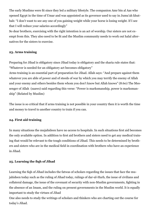The early Muslims were fit since they led a military lifestyle. The companion Amr bin al Aas who opened Egypt in the time of Umar and was appointed as its governor used to say in Jumu'ah khutbah: "I don't want to see any one of you gaining weight while your horse is losing weight. If I see that I will reduce your salaries accordingly"

So dear brothers, exercising with the right intention is an act of worship. Our sisters are not exempt from this. They also need to be fit and the Muslim community needs to work out halal alternatives for the sisters to exercise.

# **23. Arms training**

Preparing for Jihad is obligatory since Jihad today is obligatory and the sharia rule states that: "Whatever is needed for an obligatory act becomes obligatory"

Arms training is an essential part of preparation for Jihad. Allah says: "And prepare against them whatever you are able of power and of steeds of war by which you may terrify the enemy of Allah and your enemy and others besides them whom you don't know but Allah knows" (8:60) The Messenger of Allah (saaws) said regarding this verse: "Power is marksmanship, power is marksmanship" (Related by Muslim)

The issue is so critical that if arms training is not possible in your country then it is worth the time and money to travel to another country to train if you can.

#### **24. First aid training**

In many situations the mujahideen have no access to hospitals. In such situations first aid becomes the only available option. In addition to first aid brothers and sisters need to get any medical training that would be relevant to the tough conditions of Jihad. This needs to be determined by brothers and sisters who are in the medical field in coordination with brothers who have an experience in Jihad.

#### **25. Learning the fiqh of Jihad**

Learning the fiqh of Jihad includes the fatwas of scholars regarding the issues that face the mujahideen today such as the ruling of Jihad today, rulings of dar-ul-Harb, the issue of civilians and collateral damage, the issue of the covenant of security with non-Muslim governments, fighting in the absence of an Imam, and the ruling on present governments in the Muslim world. It is equally important to study the virtues of Jihad

One also needs to study the writings of scholars and thinkers who are charting out the course for today's Jihad.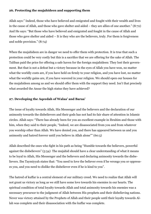#### **26. Protecting the mujahideen and supporting them**

Allah says:" Indeed, those who have believed and emigrated and fought with their wealth and lives in the cause of Allah, and those who gave shelter and aided – they are allies of one another." (8:72) And He says: "But those who have believed and emigrated and fought in the cause of Allah and those who gave shelter and aided – It is they who are the believers, truly. For them is forgiveness and noble provision." (8:74)

When the mujahideen are in danger we need to offer them with protection. It is true that such a protection could be very costly but this is a sacrifice that we are offering for the sake of Allah. The Taliban paid the price for offering a safe haven for the foreign mujahideen: They lost their government. But that is not a defeat but a victory because in the eyes of Allah you have won, no matter what the worldly costs are, if you have held on firmly to your religion, and you have lost, no matter what the worldly gains are, if you have wavered in your religion. We should open our houses for the mujahideen among us and we should offer them with the support they need. Isn't that precisely what awarded the Ansar the high status they have achieved?

#### **27. Developing the Aqeedah of Walaa' and Baraa'**

The issue of loyalty towards Allah, His Messenger and the believers and the declaration of our animosity towards the disbelievers and their gods has not had its fair share of attention in Islamic circles. Allah says: "There has already been for you an excellent example in Ibrahim and those with him, when they said to their people, "Indeed, we are disassociated from you and from whatever you worship other than Allah. We have denied you, and there has appeared between us and you animosity and hatred forever until you believe in Allah alone"" (60:5)

Allah described the ones who fight in his path as being "Humble towards the believers, powerful against the disbelievers" (5:54) The mujahid should have a clear understanding of what it means to be loyal to Allah, His Messenger and the believers and declaring animosity towards the disbelievers. Ibn Taymiyyah states that: "You need to love the believer even if he wrongs you or oppresses you, and you need to dislike the disbeliever even if he is kind to you".

The hatred of kuffar is a central element of our military creed. We need to realize that Allah will not grant us victory as long as we still have some love towards his enemies in our hearts. The spiritual condition of total loyalty towards Allah and total animosity towards his enemies was a necessary precursor to the judgment of Allah between His prophets and their disbelieving nations. Never was victory attained by the Prophets of Allah and their people until their loyalty towards Allah was complete and their disassociation with the kuffar was complete.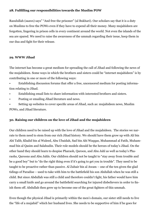# **28. Fulfilling our responsibilities towards the Muslim POW**

Rasulullah (saaws) says" "And free the prisoner" (al Bukhari). Our scholars say that it is a duty on Muslims to free the POWs even if they have to expend all their money. Many mujahideen are forgotten, lingering in prison cells in every continent around the world. Not even the islands of the sea are spared. We need to raise the awareness of the ummah regarding their issue, keep them in our dua and fight for their release.

#### **29. WWW Jihad**

The internet has become a great medium for spreading the call of Jihad and following the news of the mujahideen. Some ways in which the brothers and sisters could be "internet mujahideen" is by contributing in one or more of the following ways:

• Establishing discussion forums that offer a free, uncensored medium for posting information relating to Jihad.

- Establishing email lists to share information with interested brothers and sisters.
- Posting or emailing Jihad literature and news.

• Setting up websites to cover specific areas of Jihad, such as: mujahideen news, Muslim POWs, and Jihad literature.

# **30. Raising our children on the love of Jihad and the mujahideen**

Our children need to be raised up with the love of Jihad and the mujahideen. The stories we narrate to them need to stem from our rich Jihad history. We should have them grow up with Ali bin Abi Talib, Khalid bin al Waleed, Abu Ubaidah, Sad bin Abi Waqqas, Muhammad al Fatih, Muhammad bin al Qasim and Salahudin. Their role models should be the heroes of today's Jihad. On the other hand they should learn to despise Pharaoh, Qaroon, and Abu Jahl as well as today's Pharaohs, Qaroons and Abu Jahls. Our children should not be taught to "stay away from trouble and be a good boy" but to "do the right thing even if it's going to get you in trouble". They need to be taught to be proactive rather than passive. Al Zubair bin al Awam – one of the ten given the glad tidings of Paradise – used to take with him to the battlefield his son Abdullah when he was still a child. But since Abdullah was still a child and therefore couldn't fight, his father would have him carry a small knife and go around the battlefield searching for injured disbelievers in order to finish them off. Abdullah then grew up to become one of the great fighters of this ummah.

Even though the physical Jihad is primarily within the men's domain, our sister still needs to live the "life of a mujahid" which her husband lives. She needs to be supportive of him if he goes for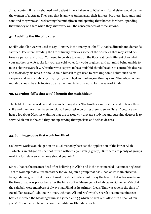Jihad, content if he is a shaheed and patient if he is taken as a POW. A mujahid sister would be like the women of al Ansar. They saw that Islam was taking away their fathers, brothers, husbands and sons and they were still welcoming the muhajireen and opening their homes for them, spending their money on them when they knew very well the consequences of these actions.

#### **31. Avoiding the life of luxury**

Sheikh Abdullah Azzam used to say: "Luxury is the enemy of Jihad". Jihad is difficult and demands sacrifice. Therefore avoiding the life of luxury removes some of the obstacles that may stand between a person and Jihad. You need to be able to sleep on the floor, eat food different than what your mother or wife cooks for you, use cold water for wudu or ghusl, and not mind being unable to take a shower everyday. A brother who aspires to be a mujahid should be able to control his desires and to disobey his nafs. On should train himself to get used to breaking some habits such as his sleeping and eating habits by praying qiyam ul layl and fasting on Mondays and Thursdays. A true mujahid should be able to give up all attachments to this world for the sake of Allah.

#### **32. Learning skills that would benefit the mujahideen**

The field of Jihad is wide and it demands many skills. The brothers and sisters need to learn these skills and then use them to serve Islam. I emphasize on using them to serve "Islam" because we hear a lot about Muslims claiming that the reason why they are studying and pursuing degrees is to serve Allah but in the end they end up serving their pockets and selfish desires.

#### **33. Joining groups that work for Jihad**

Collective work is an obligation on Muslims today because the application of the law of Allah – which is an obligation - cannot return without a jama'ah (a group). But there are plenty of groups working for Islam so which one should you join?

Since Jihad is the greatest deed after believing in Allah and is the most needed - yet most neglected - act of worship today, it is necessary for you to join a group that has Jihad as its main objective. Every Islamic group that does not work for Jihad is deficient to say the least. That is because from the time Jihad was prescribed after the hijrah of the Messenger of Allah (saaws), the jama'ah that the sahabah were members of always had Jihad as its primary focus. That was true in the time of Rasulullah (saaws), Abu Bakr, Umar, Uthman, Ali and Mu'awiyah. Seerah documents nineteen battles in which the Messenger himself joined and 55 which he sent out. All within a span of ten years! The same can be said about the righteous Khulafa' after him.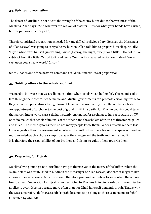#### **34. Spiritual preparation**

The defeat of Muslims is not due to the strength of the enemy but is due to the weakness of the Muslims. Allah says: "And whatever strikes you of disaster – it is for what your hands have earned; but He pardons much" (42:30)

Therefore, spiritual preparation is needed for any difficult religious duty. Because the Messenger of Allah (saaws) was going to carry a heavy burden, Allah told him to prepare himself spiritually: "O you who wraps himself [in clothing]. Arise [to pray] the night, except for a little – Half of it – or subtract from it a little. Or add to it, and recite Quran with measured recitation. Indeed, We will cast upon you a heavy word." (73:1-5)

Since Jihad is one of the heaviest commands of Allah, it needs lots of preparation.

#### **35. Guiding others to the scholars of truth**

We need to be aware that we are living in a time when scholars can be "made". The enemies of Islam through their control of the media and Muslim governments can promote certain figures who they deem as representing a benign form of Islam and consequently, turn them into celebrities. An appointment of a scholar to the post of grand mufti in a particular Muslim country could turn that person into a world class scholar instantly. Arranging for a scholar to have a program on TV or radio makes that scholar famous. On the other hand the scholars of truth are threatened, jailed, and killed. The media ignores them so not many people know them. So does this make them less knowledgeable than the government scholars? The truth is that the scholars who speak out are the most knowledgeable scholars simply because they recognized the truth and proclaimed it. It is therefore the responsibility of our brothers and sisters to guide others towards them.

#### **36. Preparing for Hijrah**

Muslims living amongst non-Muslims have put themselves at the mercy of the kuffar. When the Islamic state was established in Madinah the Messenger of Allah (saaws) declared it illegal to live amongst the disbelievers. Muslims should therefore prepare themselves to leave when the opportunity arises. Preparation for hijrah is not restricted to Muslims living in non-Muslim countries but applies to every Muslim because more often than not Jihad in its self demands hijrah. That is why the Messenger of Allah (saaws) said: "Hijrah does not stop as long as there is an enemy to fight" (Narrated by Ahmad)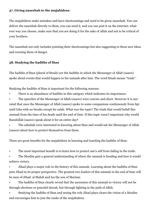#### **37. Giving naseehah to the mujahideen**

The mujahideen make mistakes and have shortcomings and need to be given naseehah. You can deliver the naseehah directly to them, you can send it, and you can post it on the internet; whatever way you choose, make sure that you are doing it for the sake of Allah and not to be critical of your brothers.

The naseehah not only includes pointing their shortcomings but also suggesting to them new ideas and warning them of danger.

# **38. Studying the hadiths of fitan**

The hadiths of fitan (plural of fitnah) are the hadiths in which the Messenger of Allah (saaws) spoke about events that would happen to his ummah after him. The word fitnah means "trials".

Studying the hadiths of fitan is important for the following reasons:

There is an abundance of hadiths in this category which indicates its importance.

• The speeches of the Messenger of Allah (saaws) were concise and short. However it is narrated that once the Messenger of Allah (saaws) spoke to some companions continuously from fajr until Isha with no breaks except for salah. What was the topic? The trials that would befall this ummah from the time of his death until the end of time. If this topic wasn't important why would Rasulullah (saaws) speak about it for an entire day?

The sahabah were interested in knowing about fitan and would ask the Messenger of Allah (saaws) about how to protect themselves from them.

There are great benefits for the mujahideen in learning and teaching the hadiths of fitan:

The most important benefit is to learn how to protect one's self from failing in the trails.

The Muslim gets a general understanding of where the ummah is heading and how it would achieve victory.

• Jihad plays a major role in the history of this ummah. Learning about the hadiths of fitan puts Jihad in its proper perspective. The greatest two leaders of this ummah in the end of time will be men of Jihad: al Mahdi and Isa the son of Mariam.

• The hadiths of fitan clearly reveal that the ascension of this ummah to victory will not be through elections or peaceful dawah, but through fighting in the path of Allah.

• Studying the hadiths of fitan and seeing the role Jihad plays clears the vision of a Muslim and encourages him to join the ranks of the mujahideen.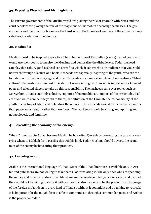#### **39. Exposing Pharaoh and his magicians.**

The current governments of the Muslim world are playing the role of Pharaoh with Musa and the court scholars are playing the role of the magicians of Pharaoh in deceiving the masses. The governments and their court scholars are the third side of the triangle of enemies of the ummah alongside the Crusaders and the Zionists.

#### **40. Nasheeds:**

Muslims need to be inspired to practice Jihad. In the time of Rasulullah (saaws) he had poets who would use their poetry to inspire the Muslims and demoralize the disbelievers. Today nasheed can play that role. A good nasheed can spread so widely it can reach to an audience that you could not reach through a lecture or a book. Nasheeds are especially inspiring to the youth, who are the foundation of Jihad in every age and time. Nasheeds are an important element in creating a "Jihad culture". Nasheeds are abundant in Arabic but scarce in English. Hence it is important for talented poets and talented singers to take up this responsibility. The nasheeds can cover topics such as: Martyrdom, Jihad is our only solution, support of the mujahideen, support of the present day leaders of Jihad (to connect the youth to them), the situation of the Ummah, the responsibility of the youth, the victory of Islam and defending the religion. The nasheeds should focus on Justice rather than peace and strength rather than weakness. The nasheeds should be strong and uplifting and not apologetic and feminine.

# **41. Boycotting the economy of the enemy.**

When Thumama bin Athaal became Muslim he boycotted Quraish by preventing the caravans carrying wheat to Makkah from passing through his land. Today Muslims should boycott the economies of the enemy by boycotting their products.

# **42. Learning Arabic**

Arabic is the international language of Jihad. Most of the Jihad literature is available only in Arabic and publishers are not willing to take the risk of translating it. The only ones who are spending the money and time translating Jihad literature are the Western intelligence services…and too bad, they would not be willing to share it with you. Arabic also happens to be the predominant language of the foreign mujahideen in every land of Jihad so without it you might end up talking to yourself. It is important for the mujahideen to able to communicate through a common language and Arabic is the proper candidate.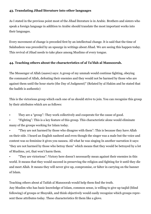# **43. Translating Jihad literature into other languages**

As I stated in the previous point most of the Jihad literature is in Arabic. Brothers and sisters who speak a foreign language in addition to Arabic should translate the most important works into their languages.

Every movement of change is preceded first by an intellectual change. It is said that the time of Salahudeen was preceded by an upsurge in writings about Jihad. We are seeing this happen today. This revival of Jihad needs to take place among Muslims of every tongue.

# **44. Teaching others about the characteristics of al Ta'ifah al Mansoorah.**

The Messenger of Allah (saaws) says: A group of my ummah would continue fighting, obeying the command of Allah, defeating their enemies and they would not be harmed by those who are against them until the hour starts (the Day of Judgment)" (Related by al Hakim and he stated that the hadith is authentic)

This is the victorious group which each one of us should strive to join. You can recognize this group by their attributes which are as follows:

- They are a "group": They work collectively and cooperate for the cause of good.
- "Fighting": This is a key feature of this group. This characteristic alone would eliminate many of the groups working for Islam today.

• "They are not harmed by those who disagree with them": This is because they have Allah on their side. I heard an English nasheed and even though the singer was a male but the voice and content was so feminine it gives you nausea. All what he was singing In another narration it says: "they are not harmed by those who betray them" which means that they would be betrayed by a lot of Muslims, yet, that won't harm them.

• "They are victorious": Victory here doesn't necessarily mean against their enemies in this world. It means that they would succeed in preserving the religion and fighting for it until they die and meet Allah. It means they will never give up, compromise, or falter in carrying on the banner of Islam.

Teaching others about al Taifah al Mansoorah would help them find the truth.

Any Muslim who has basic knowledge of Islam, common sense, is willing to give up taqlid (blind following) of groups or Shuyukh, and think objectively would easily recognize which groups represent these attributes today. These characteristics fit them like a glove.